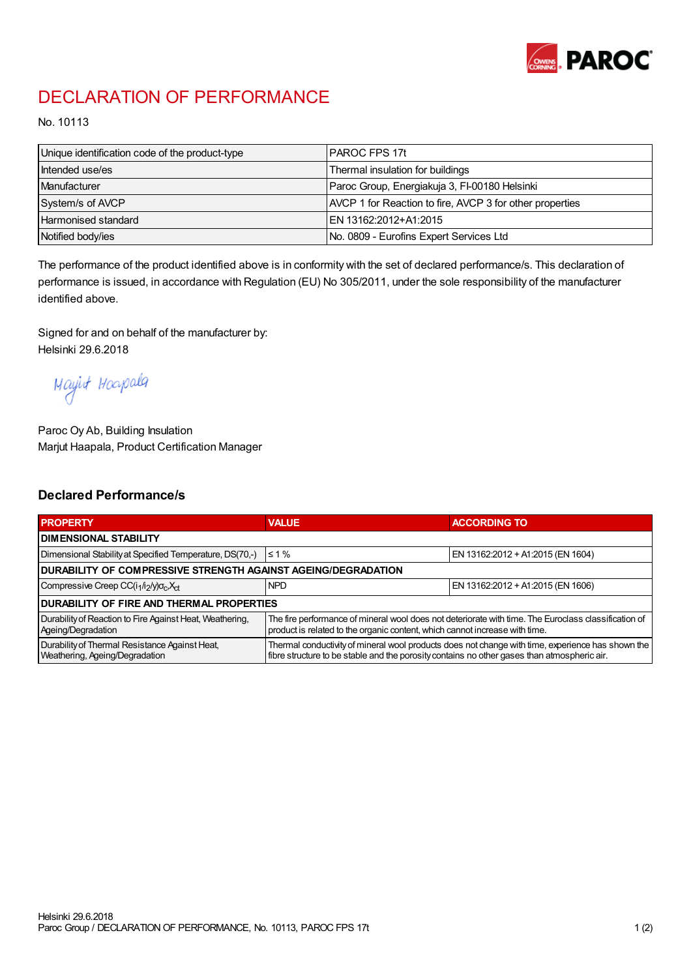

## DECLARATION OF PERFORMANCE

No. 10113

| Unique identification code of the product-type | IPAROC FPS 17t                                           |
|------------------------------------------------|----------------------------------------------------------|
| Intended use/es                                | Thermal insulation for buildings                         |
| Manufacturer                                   | Paroc Group, Energiakuja 3, FI-00180 Helsinki            |
| System/s of AVCP                               | AVCP 1 for Reaction to fire, AVCP 3 for other properties |
| Harmonised standard                            | IEN 13162:2012+A1:2015                                   |
| Notified body/ies                              | No. 0809 - Eurofins Expert Services Ltd                  |

The performance of the product identified above is in conformity with the set of declared performance/s. This declaration of performance is issued, in accordance with Regulation (EU) No 305/2011, under the sole responsibility of the manufacturer identified above.

Signed for and on behalf of the manufacturer by: Helsinki 29.6.2018

Mayirt Hoapala

Paroc Oy Ab, Building Insulation Marjut Haapala, Product Certification Manager

## Declared Performance/s

| <b>PROPERTY</b>                                                                  | <b>VALUE</b>                                                                                                                                                                                     | <b>ACCORDING TO</b>               |  |  |
|----------------------------------------------------------------------------------|--------------------------------------------------------------------------------------------------------------------------------------------------------------------------------------------------|-----------------------------------|--|--|
| <b>I DIMENSIONAL STABILITY</b>                                                   |                                                                                                                                                                                                  |                                   |  |  |
| Dimensional Stability at Specified Temperature, DS(70,-)                         | $\leq 1\%$                                                                                                                                                                                       | EN 13162:2012 + A1:2015 (EN 1604) |  |  |
| DURABILITY OF COMPRESSIVE STRENGTH AGAINST AGEING/DEGRADATION                    |                                                                                                                                                                                                  |                                   |  |  |
| Compressive Creep CC(i <sub>1</sub> /i <sub>2</sub> /y) $\sigma_c X_{ct}$        | <b>NPD</b>                                                                                                                                                                                       | EN 13162:2012 + A1:2015 (EN 1606) |  |  |
| <b>DURABILITY OF FIRE AND THERMAL PROPERTIES</b>                                 |                                                                                                                                                                                                  |                                   |  |  |
| Durability of Reaction to Fire Against Heat, Weathering,<br>Ageing/Degradation   | The fire performance of mineral wool does not deteriorate with time. The Euroclass classification of<br>product is related to the organic content, which cannot increase with time.              |                                   |  |  |
| Durability of Thermal Resistance Against Heat,<br>Weathering, Ageing/Degradation | Thermal conductivity of mineral wool products does not change with time, experience has shown the<br>fibre structure to be stable and the porosity contains no other gases than atmospheric air. |                                   |  |  |